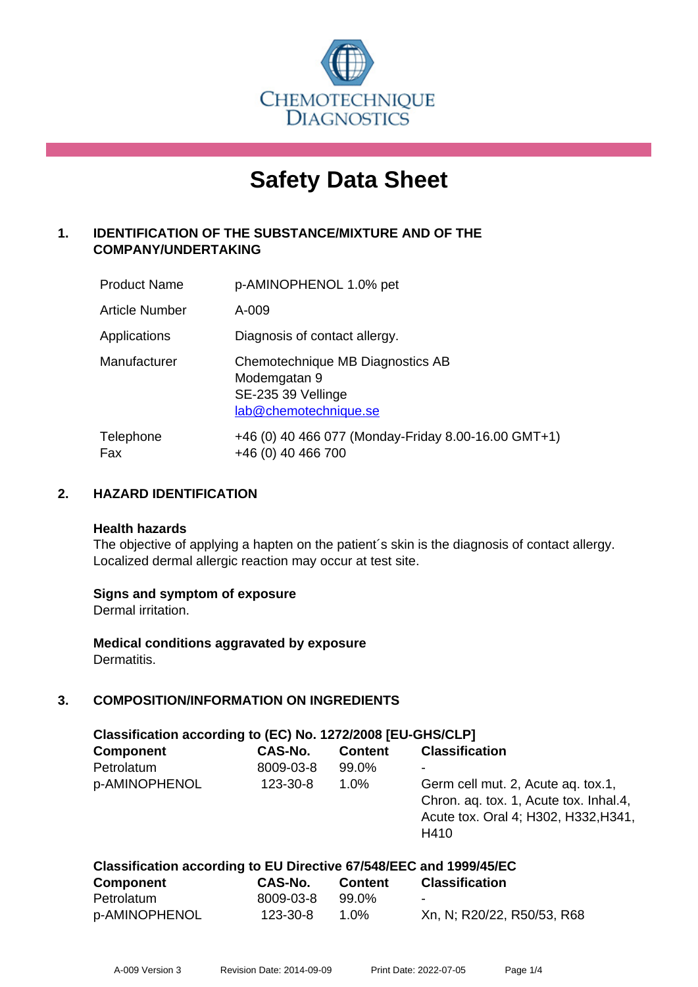

# **Safety Data Sheet**

# **1. IDENTIFICATION OF THE SUBSTANCE/MIXTURE AND OF THE COMPANY/UNDERTAKING**

| <b>Product Name</b> | p-AMINOPHENOL 1.0% pet                                                                          |
|---------------------|-------------------------------------------------------------------------------------------------|
| Article Number      | A-009                                                                                           |
| Applications        | Diagnosis of contact allergy.                                                                   |
| Manufacturer        | Chemotechnique MB Diagnostics AB<br>Modemgatan 9<br>SE-235 39 Vellinge<br>lab@chemotechnique.se |
| Telephone<br>Fax    | +46 (0) 40 466 077 (Monday-Friday 8.00-16.00 GMT+1)<br>+46 (0) 40 466 700                       |

## **2. HAZARD IDENTIFICATION**

#### **Health hazards**

The objective of applying a hapten on the patient's skin is the diagnosis of contact allergy. Localized dermal allergic reaction may occur at test site.

#### **Signs and symptom of exposure**

Dermal irritation.

**Medical conditions aggravated by exposure** Dermatitis.

# **3. COMPOSITION/INFORMATION ON INGREDIENTS**

| Classification according to (EC) No. 1272/2008 [EU-GHS/CLP]        |           |                |                                                                                                                              |  |
|--------------------------------------------------------------------|-----------|----------------|------------------------------------------------------------------------------------------------------------------------------|--|
| <b>Component</b>                                                   | CAS-No.   | <b>Content</b> | <b>Classification</b>                                                                                                        |  |
| Petrolatum                                                         | 8009-03-8 | 99.0%          |                                                                                                                              |  |
| p-AMINOPHENOL                                                      | 123-30-8  | $1.0\%$        | Germ cell mut. 2, Acute ag. tox.1,<br>Chron. aq. tox. 1, Acute tox. Inhal.4,<br>Acute tox. Oral 4; H302, H332, H341,<br>H410 |  |
| Classification according to EU Directive 67/548/EEC and 1999/45/EC |           |                |                                                                                                                              |  |

| <b>Component</b> | CAS-No.   | <b>Content</b> | <b>Classification</b>      |  |
|------------------|-----------|----------------|----------------------------|--|
| Petrolatum       | 8009-03-8 | 99.0%          | -                          |  |
| p-AMINOPHENOL    | 123-30-8  | 1 በ%           | Xn, N; R20/22, R50/53, R68 |  |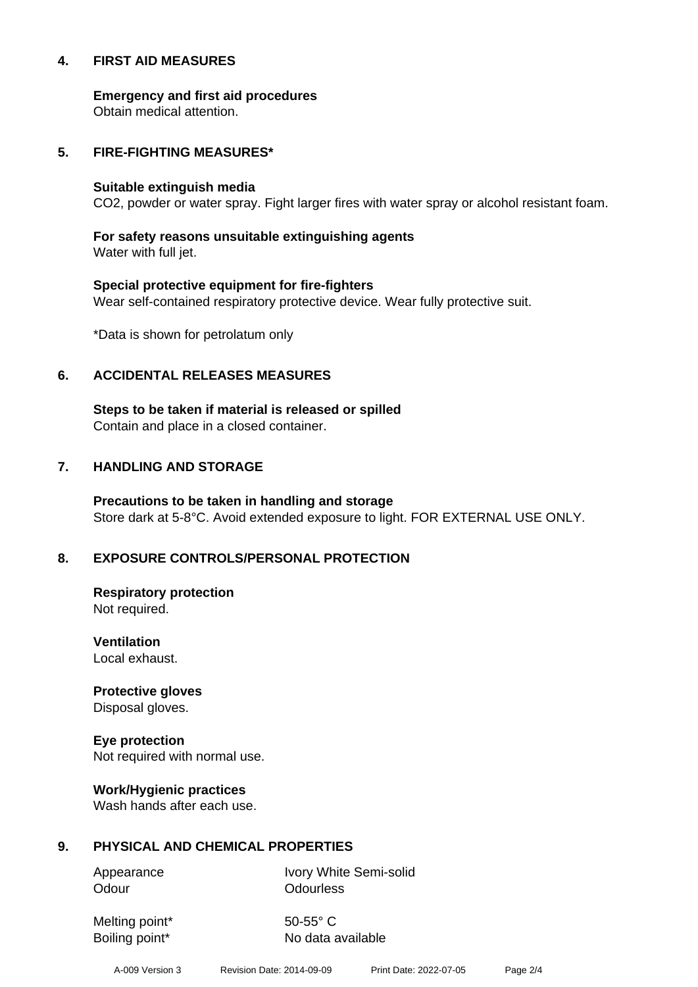#### **4. FIRST AID MEASURES**

**Emergency and first aid procedures**

Obtain medical attention.

#### **5. FIRE-FIGHTING MEASURES\***

#### **Suitable extinguish media**

CO2, powder or water spray. Fight larger fires with water spray or alcohol resistant foam.

# **For safety reasons unsuitable extinguishing agents**

Water with full jet.

# **Special protective equipment for fire-fighters** Wear self-contained respiratory protective device. Wear fully protective suit.

\*Data is shown for petrolatum only

## **6. ACCIDENTAL RELEASES MEASURES**

**Steps to be taken if material is released or spilled** Contain and place in a closed container.

# **7. HANDLING AND STORAGE**

**Precautions to be taken in handling and storage** Store dark at 5-8°C. Avoid extended exposure to light. FOR EXTERNAL USE ONLY.

# **8. EXPOSURE CONTROLS/PERSONAL PROTECTION**

**Respiratory protection** Not required.

**Ventilation** Local exhaust.

**Protective gloves** Disposal gloves.

# **Eye protection**

Not required with normal use.

#### **Work/Hygienic practices**

Wash hands after each use.

#### **9. PHYSICAL AND CHEMICAL PROPERTIES**

Odour **Odourless** 

Appearance Ivory White Semi-solid

Melting point\* 50-55° C

Boiling point\* No data available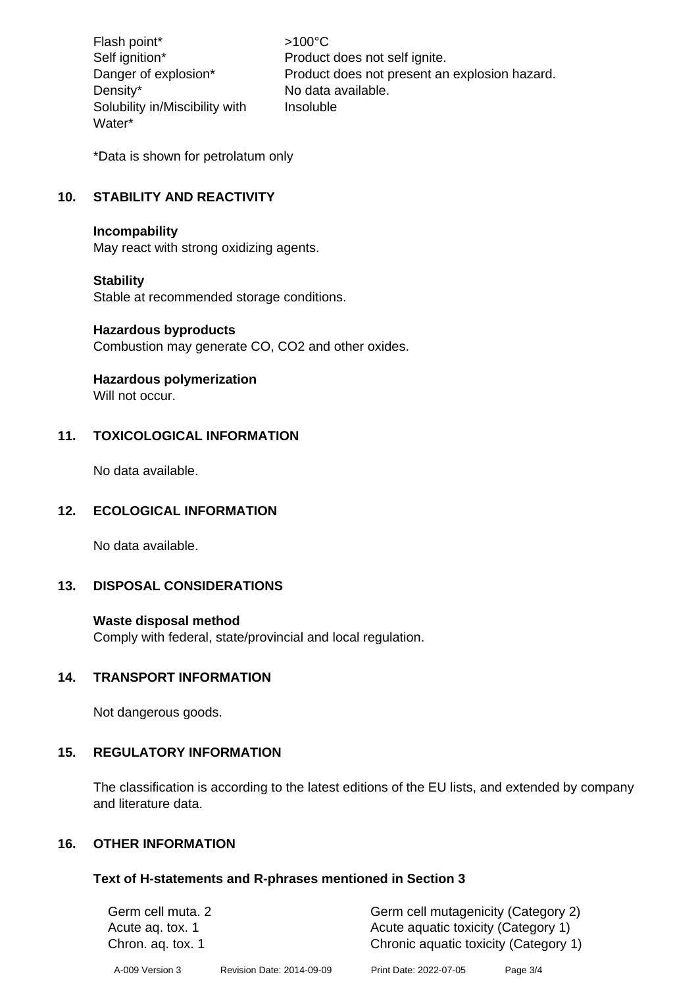Flash point\* >100°C Density\* No data available. Solubility in/Miscibility with Water\*

Self ignition\* Product does not self ignite. Danger of explosion\* Product does not present an explosion hazard. Insoluble

\*Data is shown for petrolatum only

# **10. STABILITY AND REACTIVITY**

#### **Incompability**

May react with strong oxidizing agents.

#### **Stability**

Stable at recommended storage conditions.

#### **Hazardous byproducts**

Combustion may generate CO, CO2 and other oxides.

#### **Hazardous polymerization**

Will not occur.

#### **11. TOXICOLOGICAL INFORMATION**

No data available.

#### **12. ECOLOGICAL INFORMATION**

No data available.

#### **13. DISPOSAL CONSIDERATIONS**

#### **Waste disposal method**

Comply with federal, state/provincial and local regulation.

#### **14. TRANSPORT INFORMATION**

Not dangerous goods.

#### **15. REGULATORY INFORMATION**

The classification is according to the latest editions of the EU lists, and extended by company and literature data.

#### **16. OTHER INFORMATION**

#### **Text of H-statements and R-phrases mentioned in Section 3**

| Germ cell muta. 2<br>Acute ag. tox. 1<br>Chron. ag. tox. 1 |                           |                        | Germ cell mutagenicity (Category 2)<br>Acute aquatic toxicity (Category 1)<br>Chronic aquatic toxicity (Category 1) |  |  |
|------------------------------------------------------------|---------------------------|------------------------|---------------------------------------------------------------------------------------------------------------------|--|--|
| A-009 Version 3                                            | Revision Date: 2014-09-09 | Print Date: 2022-07-05 | Page $3/4$                                                                                                          |  |  |